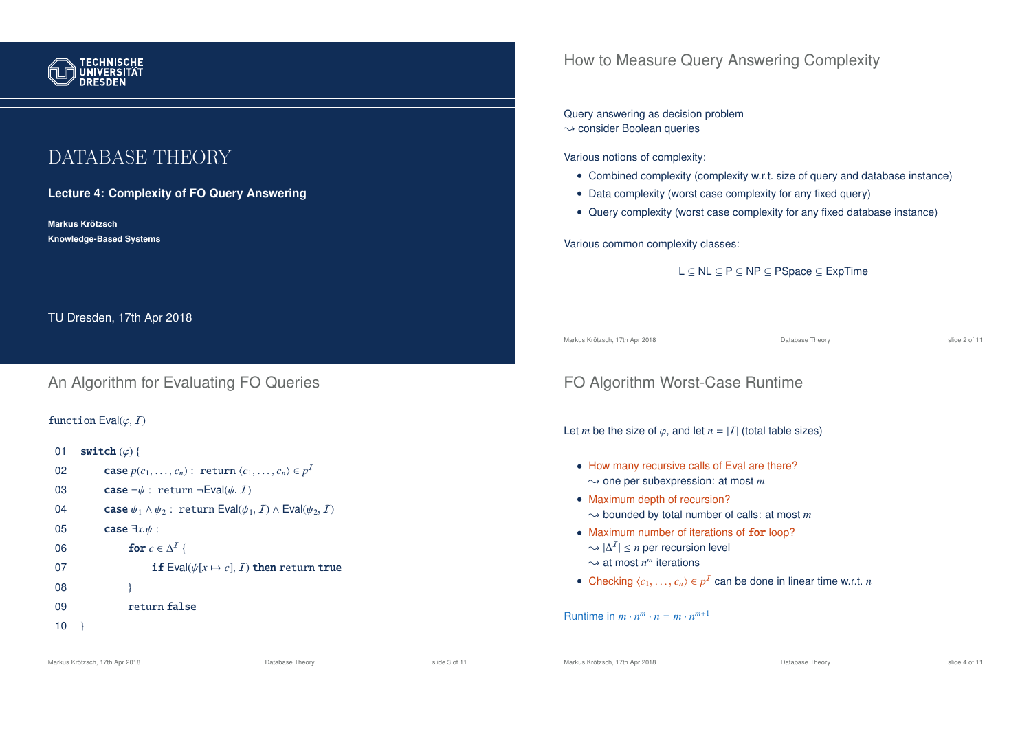

# DATABASE THEORY

**Lecture 4: Complexity of FO Query Answering**

**Markus Krotzsch ¨ Knowledge-Based Systems**

TU Dresden, 17th Apr 2018

## An Algorithm for Evaluating FO Queries

#### function  $Eval(\varphi, I)$

01 switch  $(\varphi)$  { 02 **case**  $p(c_1, \ldots, c_n):$  return  $\langle c_1, \ldots, c_n \rangle \in p^T$ 03 case  $\neg \psi$ : return  $\neg \text{Eval}(\psi, I)$ 04 case  $\psi_1 \wedge \psi_2$ : return Eval $(\psi_1, I) \wedge$  Eval $(\psi_2, I)$ <sup>05</sup> case <sup>∃</sup>*x*.<sup>ψ</sup> : 06 **for**  $c \in \Delta^I$  { 07 **if** Eval( $\psi[x \mapsto c]$ , *I*) then return true  $08$  } 09 return false  $10$ 

## How to Measure Query Answering Complexity

### Query answering as decision problem

 $\rightarrow$  consider Boolean queries

Various notions of complexity:

- Combined complexity (complexity w.r.t. size of query and database instance)
- Data complexity (worst case complexity for any fixed query)
- Query complexity (worst case complexity for any fixed database instance)

Various common complexity classes:

L ⊆ NL ⊆ P ⊆ NP ⊆ PSpace ⊆ ExpTime

Markus Krötzsch, 17th Apr 2018 Database Theory slide 2 of 11

FO Algorithm Worst-Case Runtime

Let *m* be the size of  $\varphi$ , and let  $n = |I|$  (total table sizes)

- How many recursive calls of Eval are there?  $\rightarrow$  one per subexpression: at most *m*
- Maximum depth of recursion?  $\rightarrow$  bounded by total number of calls: at most *m*
- Maximum number of iterations of for loop?  $\sim |\Delta^I|$  ≤ *n* per recursion level  $\sim$  at most  $n^m$  iterations
- Checking  $\langle c_1, \ldots, c_n \rangle \in p^I$  can be done in linear time w.r.t. *n*

Runtime in  $m \cdot n^m \cdot n = m \cdot n^{m+1}$ 

Markus Krötzsch, 17th Apr 2018 Database Theory slide 4 of 11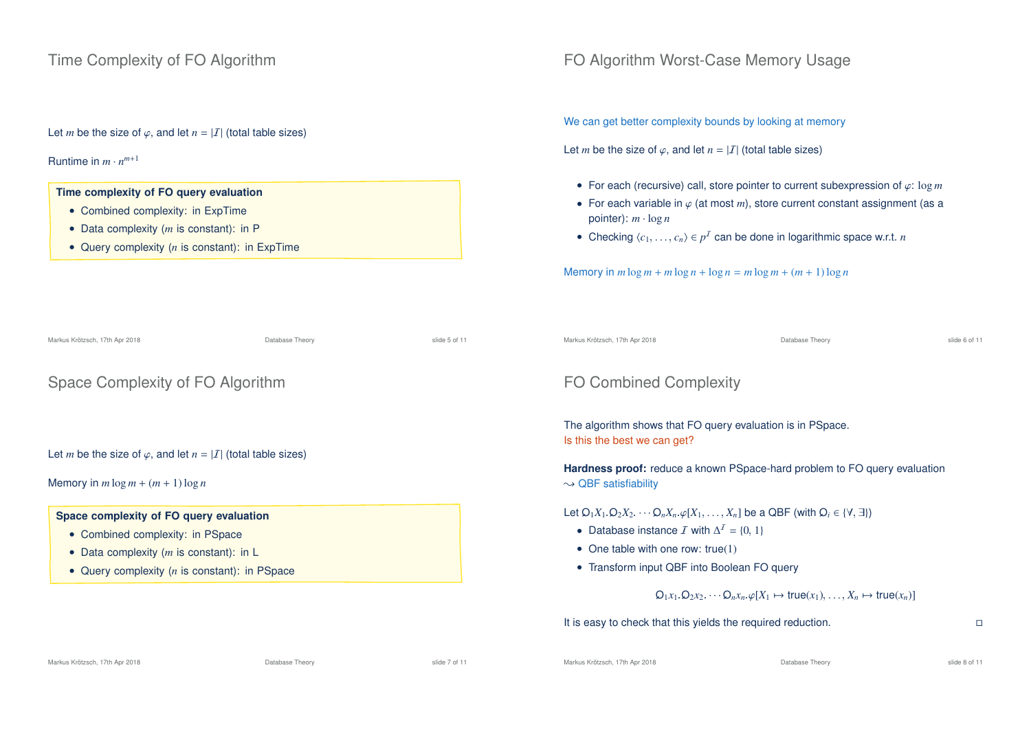### Time Complexity of FO Algorithm

Let *m* be the size of  $\varphi$ , and let  $n = |I|$  (total table sizes)

### Runtime in  $m \cdot n^{m+1}$

#### **Time complexity of FO query evaluation**

- Combined complexity: in ExpTime
- Data complexity (*m* is constant): in P
- Query complexity (*n* is constant): in ExpTime

### FO Algorithm Worst-Case Memory Usage

We can get better complexity bounds by looking at memory

Let *m* be the size of  $\varphi$ , and let  $n = |I|$  (total table sizes)

- For each (recursive) call, store pointer to current subexpression of ϕ: log *m*
- For each variable in  $\varphi$  (at most *m*), store current constant assignment (as a pointer):  $m \cdot \log n$
- Checking  $\langle c_1, \ldots, c_n \rangle \in p^I$  can be done in logarithmic space w.r.t. *n*

Memory in  $m \log m + m \log n + \log n = m \log m + (m + 1) \log n$ 

| Markus Krötzsch, 17th Apr 2018                                                                                                                                                       | Database Theory | slide 5 of 11 | Markus Krötzsch, 17th Apr 2018                                                                                                                                                                                                                                                                                                                                                                                                                     | Database Theory | slide 6 of 11 |
|--------------------------------------------------------------------------------------------------------------------------------------------------------------------------------------|-----------------|---------------|----------------------------------------------------------------------------------------------------------------------------------------------------------------------------------------------------------------------------------------------------------------------------------------------------------------------------------------------------------------------------------------------------------------------------------------------------|-----------------|---------------|
| Space Complexity of FO Algorithm                                                                                                                                                     |                 |               | <b>FO Combined Complexity</b>                                                                                                                                                                                                                                                                                                                                                                                                                      |                 |               |
| Let <i>m</i> be the size of $\varphi$ , and let $n =  I $ (total table sizes)<br>Memory in $m \log m + (m + 1) \log n$                                                               |                 |               | The algorithm shows that FO query evaluation is in PSpace.<br>Is this the best we can get?<br><b>Hardness proof:</b> reduce a known PSpace-hard problem to FO query evaluation<br>$\sim$ QBF satisfiability                                                                                                                                                                                                                                        |                 |               |
| Space complexity of FO query evaluation<br>• Combined complexity: in PSpace<br>• Data complexity $(m \text{ is constant})$ : in L<br>• Query complexity $(n$ is constant): in PSpace |                 |               | Let $Q_1X_1 \cdot Q_2X_2 \cdots Q_nX_n \cdot \varphi[X_1, \ldots, X_n]$ be a QBF (with $Q_i \in \{\forall, \exists\}\$ )<br>• Database instance <i>I</i> with $\Delta^I = \{0, 1\}$<br>• One table with one row: true(1)<br>• Transform input QBF into Boolean FO query<br>$Q_1x_1 Q_2x_2 \cdots Q_nx_n \varphi[X_1 \mapsto \text{true}(x_1) \ldots X_n \mapsto \text{true}(x_n)]$<br>It is easy to check that this yields the required reduction. |                 | $\Box$        |